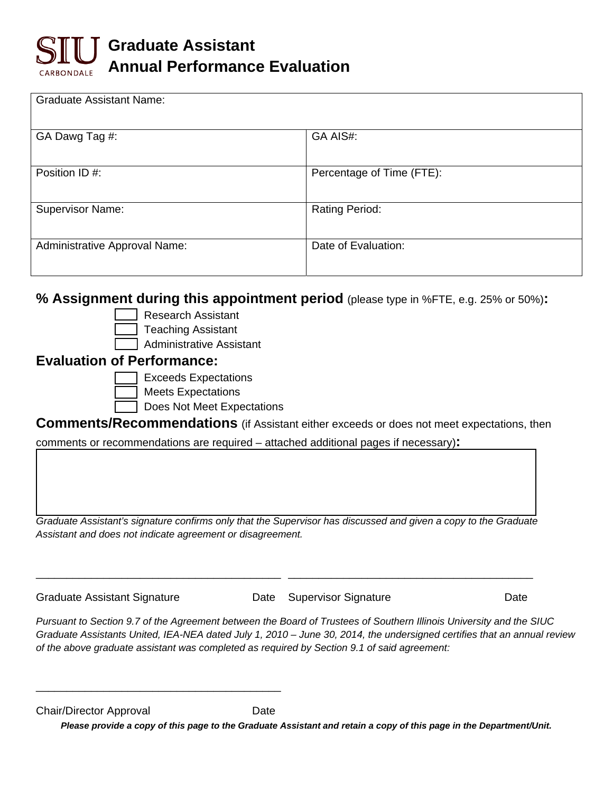

| <b>Graduate Assistant Name:</b> |                           |
|---------------------------------|---------------------------|
| GA Dawg Tag #:                  | GA AIS#:                  |
| Position ID #:                  | Percentage of Time (FTE): |
| <b>Supervisor Name:</b>         | <b>Rating Period:</b>     |
| Administrative Approval Name:   | Date of Evaluation:       |

## **% Assignment during this appointment period** (please type in %FTE, e.g. 25% or 50%)**:**

- Research Assistant
- Teaching Assistant
- Administrative Assistant

## **Evaluation of Performance:**

- Exceeds Expectations
- Meets Expectations
	- Does Not Meet Expectations

**Comments/Recommendations** (if Assistant either exceeds or does not meet expectations, then

comments or recommendations are required – attached additional pages if necessary)**:** 

*Graduate Assistant's signature confirms only that the Supervisor has discussed and given a copy to the Graduate Assistant and does not indicate agreement or disagreement.* 

\_\_\_\_\_\_\_\_\_\_\_\_\_\_\_\_\_\_\_\_\_\_\_\_\_\_\_\_\_\_\_\_\_\_\_\_\_\_\_\_ \_\_\_\_\_\_\_\_\_\_\_\_\_\_\_\_\_\_\_\_\_\_\_\_\_\_\_\_\_\_\_\_\_\_\_\_\_\_\_\_

Graduate Assistant Signature **Date Supervisor Signature** Date Date

\_\_\_\_\_\_\_\_\_\_\_\_\_\_\_\_\_\_\_\_\_\_\_\_\_\_\_\_\_\_\_\_\_\_\_\_\_\_\_\_

*Pursuant to Section 9.7 of the Agreement between the Board of Trustees of Southern Illinois University and the SIUC Graduate Assistants United, IEA-NEA dated July 1, 2010 – June 30, 2014, the undersigned certifies that an annual review of the above graduate assistant was completed as required by Section 9.1 of said agreement:* 

Chair/Director Approval Date

*Please provide a copy of this page to the Graduate Assistant and retain a copy of this page in the Department/Unit.*